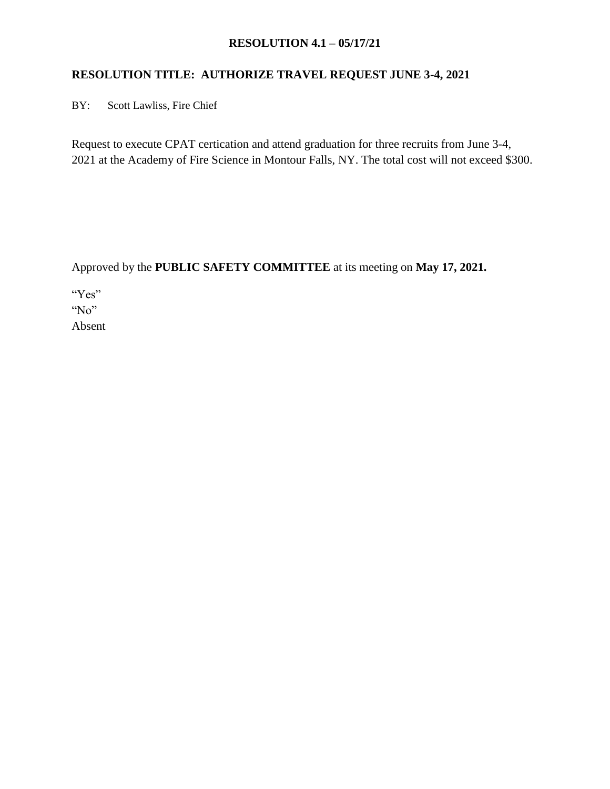#### **RESOLUTION 4.1 – 05/17/21**

## **RESOLUTION TITLE: AUTHORIZE TRAVEL REQUEST JUNE 3-4, 2021**

BY: Scott Lawliss, Fire Chief

Request to execute CPAT certication and attend graduation for three recruits from June 3-4, 2021 at the Academy of Fire Science in Montour Falls, NY. The total cost will not exceed \$300.

Approved by the **PUBLIC SAFETY COMMITTEE** at its meeting on **May 17, 2021.**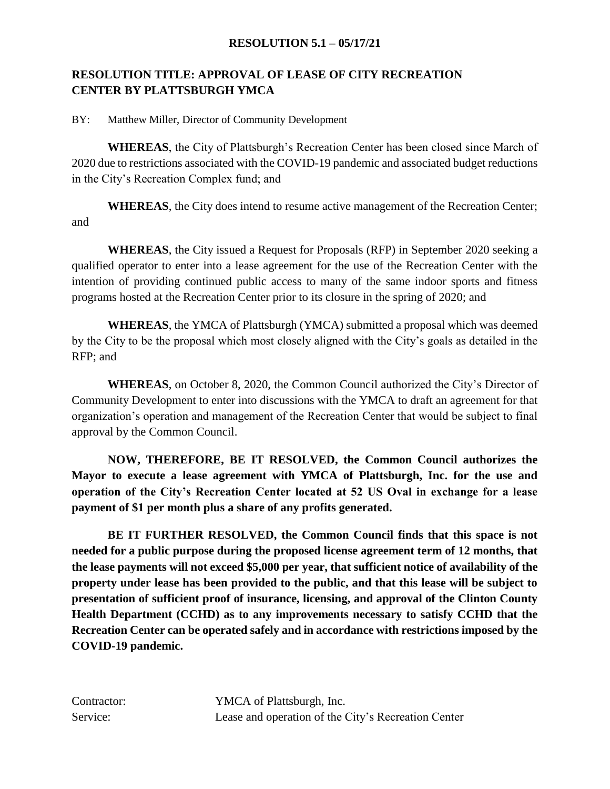#### **RESOLUTION 5.1 – 05/17/21**

## **RESOLUTION TITLE: APPROVAL OF LEASE OF CITY RECREATION CENTER BY PLATTSBURGH YMCA**

BY: Matthew Miller, Director of Community Development

**WHEREAS**, the City of Plattsburgh's Recreation Center has been closed since March of 2020 due to restrictions associated with the COVID-19 pandemic and associated budget reductions in the City's Recreation Complex fund; and

**WHEREAS**, the City does intend to resume active management of the Recreation Center; and

**WHEREAS**, the City issued a Request for Proposals (RFP) in September 2020 seeking a qualified operator to enter into a lease agreement for the use of the Recreation Center with the intention of providing continued public access to many of the same indoor sports and fitness programs hosted at the Recreation Center prior to its closure in the spring of 2020; and

**WHEREAS**, the YMCA of Plattsburgh (YMCA) submitted a proposal which was deemed by the City to be the proposal which most closely aligned with the City's goals as detailed in the RFP; and

**WHEREAS**, on October 8, 2020, the Common Council authorized the City's Director of Community Development to enter into discussions with the YMCA to draft an agreement for that organization's operation and management of the Recreation Center that would be subject to final approval by the Common Council.

**NOW, THEREFORE, BE IT RESOLVED, the Common Council authorizes the Mayor to execute a lease agreement with YMCA of Plattsburgh, Inc. for the use and operation of the City's Recreation Center located at 52 US Oval in exchange for a lease payment of \$1 per month plus a share of any profits generated.**

**BE IT FURTHER RESOLVED, the Common Council finds that this space is not needed for a public purpose during the proposed license agreement term of 12 months, that the lease payments will not exceed \$5,000 per year, that sufficient notice of availability of the property under lease has been provided to the public, and that this lease will be subject to presentation of sufficient proof of insurance, licensing, and approval of the Clinton County Health Department (CCHD) as to any improvements necessary to satisfy CCHD that the Recreation Center can be operated safely and in accordance with restrictions imposed by the COVID-19 pandemic.**

Contractor: YMCA of Plattsburgh, Inc. Service: Lease and operation of the City's Recreation Center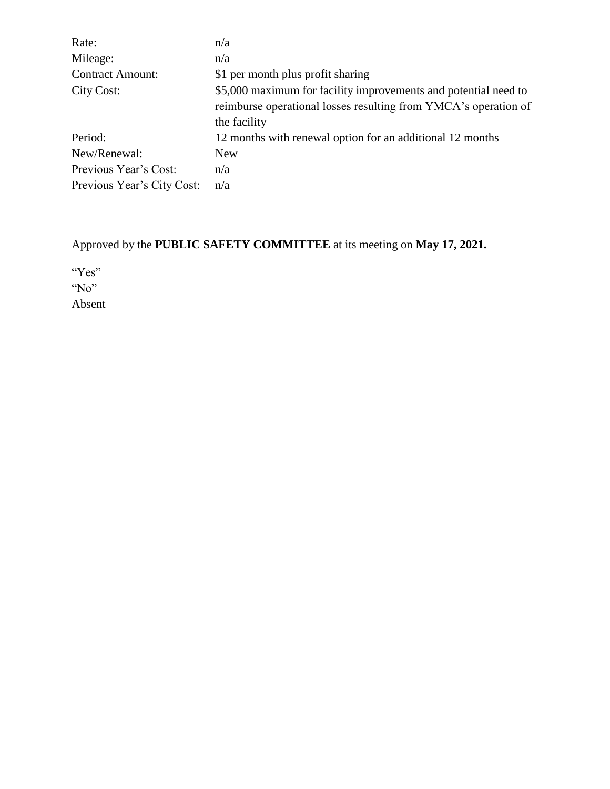| Rate:                      | n/a                                                             |
|----------------------------|-----------------------------------------------------------------|
| Mileage:                   | n/a                                                             |
| <b>Contract Amount:</b>    | \$1 per month plus profit sharing                               |
| City Cost:                 | \$5,000 maximum for facility improvements and potential need to |
|                            | reimburse operational losses resulting from YMCA's operation of |
|                            | the facility                                                    |
| Period:                    | 12 months with renewal option for an additional 12 months       |
| New/Renewal:               | New                                                             |
| Previous Year's Cost:      | n/a                                                             |
| Previous Year's City Cost: | n/a                                                             |

Approved by the **PUBLIC SAFETY COMMITTEE** at its meeting on **May 17, 2021.**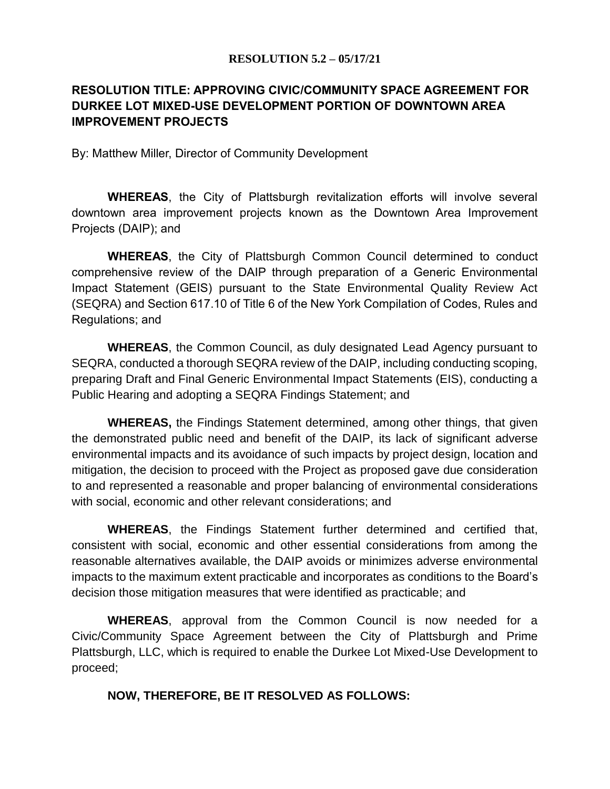#### **RESOLUTION 5.2 – 05/17/21**

# **RESOLUTION TITLE: APPROVING CIVIC/COMMUNITY SPACE AGREEMENT FOR DURKEE LOT MIXED-USE DEVELOPMENT PORTION OF DOWNTOWN AREA IMPROVEMENT PROJECTS**

By: Matthew Miller, Director of Community Development

**WHEREAS**, the City of Plattsburgh revitalization efforts will involve several downtown area improvement projects known as the Downtown Area Improvement Projects (DAIP); and

**WHEREAS**, the City of Plattsburgh Common Council determined to conduct comprehensive review of the DAIP through preparation of a Generic Environmental Impact Statement (GEIS) pursuant to the State Environmental Quality Review Act (SEQRA) and Section 617.10 of Title 6 of the New York Compilation of Codes, Rules and Regulations; and

**WHEREAS**, the Common Council, as duly designated Lead Agency pursuant to SEQRA, conducted a thorough SEQRA review of the DAIP, including conducting scoping, preparing Draft and Final Generic Environmental Impact Statements (EIS), conducting a Public Hearing and adopting a SEQRA Findings Statement; and

**WHEREAS,** the Findings Statement determined, among other things, that given the demonstrated public need and benefit of the DAIP, its lack of significant adverse environmental impacts and its avoidance of such impacts by project design, location and mitigation, the decision to proceed with the Project as proposed gave due consideration to and represented a reasonable and proper balancing of environmental considerations with social, economic and other relevant considerations; and

**WHEREAS**, the Findings Statement further determined and certified that, consistent with social, economic and other essential considerations from among the reasonable alternatives available, the DAIP avoids or minimizes adverse environmental impacts to the maximum extent practicable and incorporates as conditions to the Board's decision those mitigation measures that were identified as practicable; and

**WHEREAS**, approval from the Common Council is now needed for a Civic/Community Space Agreement between the City of Plattsburgh and Prime Plattsburgh, LLC, which is required to enable the Durkee Lot Mixed-Use Development to proceed;

### **NOW, THEREFORE, BE IT RESOLVED AS FOLLOWS:**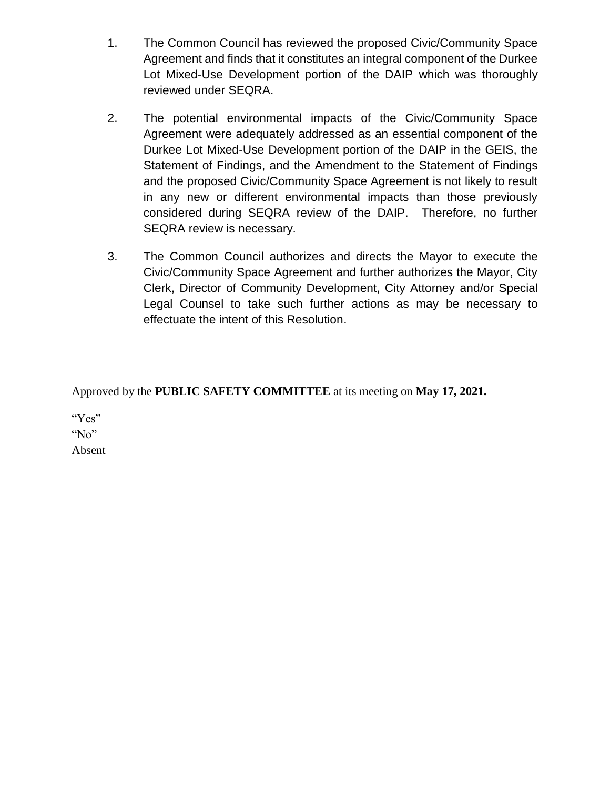- 1. The Common Council has reviewed the proposed Civic/Community Space Agreement and finds that it constitutes an integral component of the Durkee Lot Mixed-Use Development portion of the DAIP which was thoroughly reviewed under SEQRA.
- 2. The potential environmental impacts of the Civic/Community Space Agreement were adequately addressed as an essential component of the Durkee Lot Mixed-Use Development portion of the DAIP in the GEIS, the Statement of Findings, and the Amendment to the Statement of Findings and the proposed Civic/Community Space Agreement is not likely to result in any new or different environmental impacts than those previously considered during SEQRA review of the DAIP. Therefore, no further SEQRA review is necessary.
- 3. The Common Council authorizes and directs the Mayor to execute the Civic/Community Space Agreement and further authorizes the Mayor, City Clerk, Director of Community Development, City Attorney and/or Special Legal Counsel to take such further actions as may be necessary to effectuate the intent of this Resolution.

Approved by the **PUBLIC SAFETY COMMITTEE** at its meeting on **May 17, 2021.**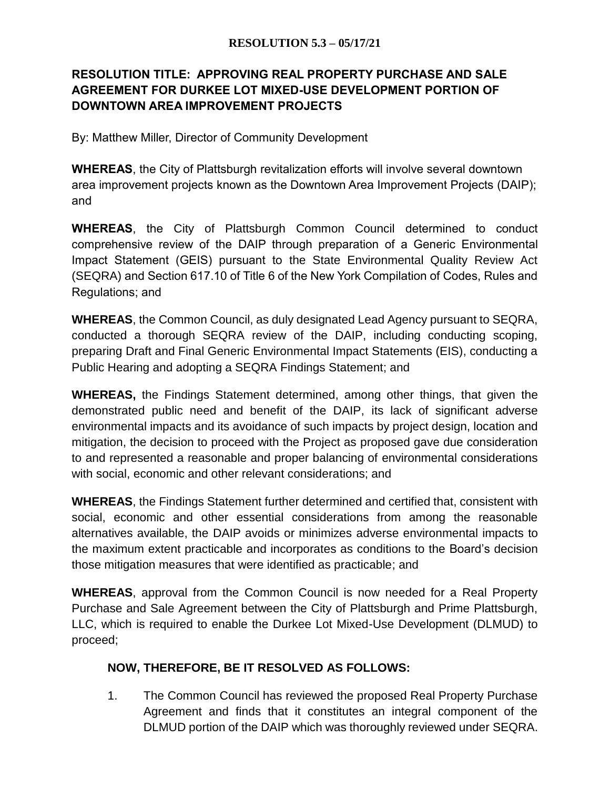# **RESOLUTION TITLE: APPROVING REAL PROPERTY PURCHASE AND SALE AGREEMENT FOR DURKEE LOT MIXED-USE DEVELOPMENT PORTION OF DOWNTOWN AREA IMPROVEMENT PROJECTS**

By: Matthew Miller, Director of Community Development

**WHEREAS**, the City of Plattsburgh revitalization efforts will involve several downtown area improvement projects known as the Downtown Area Improvement Projects (DAIP); and

**WHEREAS**, the City of Plattsburgh Common Council determined to conduct comprehensive review of the DAIP through preparation of a Generic Environmental Impact Statement (GEIS) pursuant to the State Environmental Quality Review Act (SEQRA) and Section 617.10 of Title 6 of the New York Compilation of Codes, Rules and Regulations; and

**WHEREAS**, the Common Council, as duly designated Lead Agency pursuant to SEQRA, conducted a thorough SEQRA review of the DAIP, including conducting scoping, preparing Draft and Final Generic Environmental Impact Statements (EIS), conducting a Public Hearing and adopting a SEQRA Findings Statement; and

**WHEREAS,** the Findings Statement determined, among other things, that given the demonstrated public need and benefit of the DAIP, its lack of significant adverse environmental impacts and its avoidance of such impacts by project design, location and mitigation, the decision to proceed with the Project as proposed gave due consideration to and represented a reasonable and proper balancing of environmental considerations with social, economic and other relevant considerations; and

**WHEREAS**, the Findings Statement further determined and certified that, consistent with social, economic and other essential considerations from among the reasonable alternatives available, the DAIP avoids or minimizes adverse environmental impacts to the maximum extent practicable and incorporates as conditions to the Board's decision those mitigation measures that were identified as practicable; and

**WHEREAS**, approval from the Common Council is now needed for a Real Property Purchase and Sale Agreement between the City of Plattsburgh and Prime Plattsburgh, LLC, which is required to enable the Durkee Lot Mixed-Use Development (DLMUD) to proceed;

## **NOW, THEREFORE, BE IT RESOLVED AS FOLLOWS:**

1. The Common Council has reviewed the proposed Real Property Purchase Agreement and finds that it constitutes an integral component of the DLMUD portion of the DAIP which was thoroughly reviewed under SEQRA.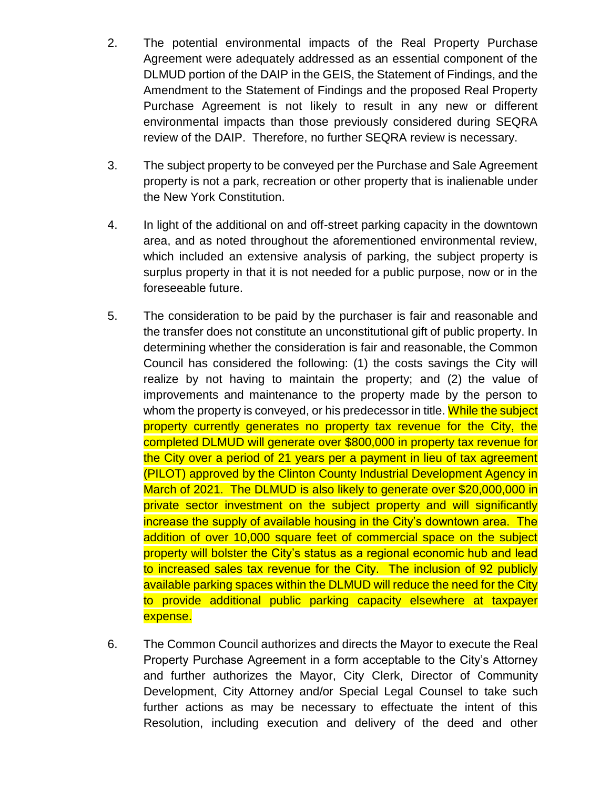- 2. The potential environmental impacts of the Real Property Purchase Agreement were adequately addressed as an essential component of the DLMUD portion of the DAIP in the GEIS, the Statement of Findings, and the Amendment to the Statement of Findings and the proposed Real Property Purchase Agreement is not likely to result in any new or different environmental impacts than those previously considered during SEQRA review of the DAIP. Therefore, no further SEQRA review is necessary.
- 3. The subject property to be conveyed per the Purchase and Sale Agreement property is not a park, recreation or other property that is inalienable under the New York Constitution.
- 4. In light of the additional on and off-street parking capacity in the downtown area, and as noted throughout the aforementioned environmental review, which included an extensive analysis of parking, the subject property is surplus property in that it is not needed for a public purpose, now or in the foreseeable future.
- 5. The consideration to be paid by the purchaser is fair and reasonable and the transfer does not constitute an unconstitutional gift of public property. In determining whether the consideration is fair and reasonable, the Common Council has considered the following: (1) the costs savings the City will realize by not having to maintain the property; and (2) the value of improvements and maintenance to the property made by the person to whom the property is conveyed, or his predecessor in title. While the subject property currently generates no property tax revenue for the City, the completed DLMUD will generate over \$800,000 in property tax revenue for the City over a period of 21 years per a payment in lieu of tax agreement (PILOT) approved by the Clinton County Industrial Development Agency in March of 2021. The DLMUD is also likely to generate over \$20,000,000 in private sector investment on the subject property and will significantly increase the supply of available housing in the City's downtown area. The addition of over 10,000 square feet of commercial space on the subject property will bolster the City's status as a regional economic hub and lead to increased sales tax revenue for the City. The inclusion of 92 publicly available parking spaces within the DLMUD will reduce the need for the City to provide additional public parking capacity elsewhere at taxpayer expense.
- 6. The Common Council authorizes and directs the Mayor to execute the Real Property Purchase Agreement in a form acceptable to the City's Attorney and further authorizes the Mayor, City Clerk, Director of Community Development, City Attorney and/or Special Legal Counsel to take such further actions as may be necessary to effectuate the intent of this Resolution, including execution and delivery of the deed and other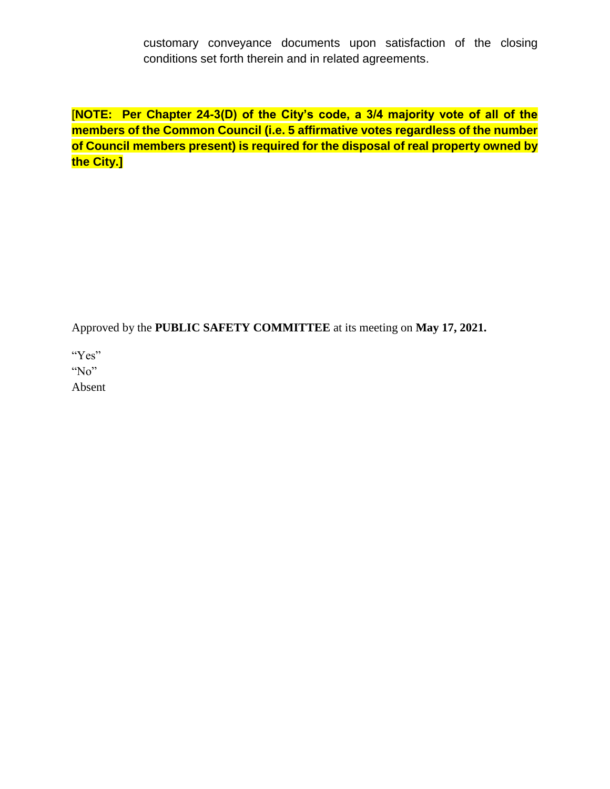customary conveyance documents upon satisfaction of the closing conditions set forth therein and in related agreements.

[**NOTE: Per Chapter 24-3(D) of the City's code, a 3/4 majority vote of all of the members of the Common Council (i.e. 5 affirmative votes regardless of the number of Council members present) is required for the disposal of real property owned by the City.]**

Approved by the **PUBLIC SAFETY COMMITTEE** at its meeting on **May 17, 2021.**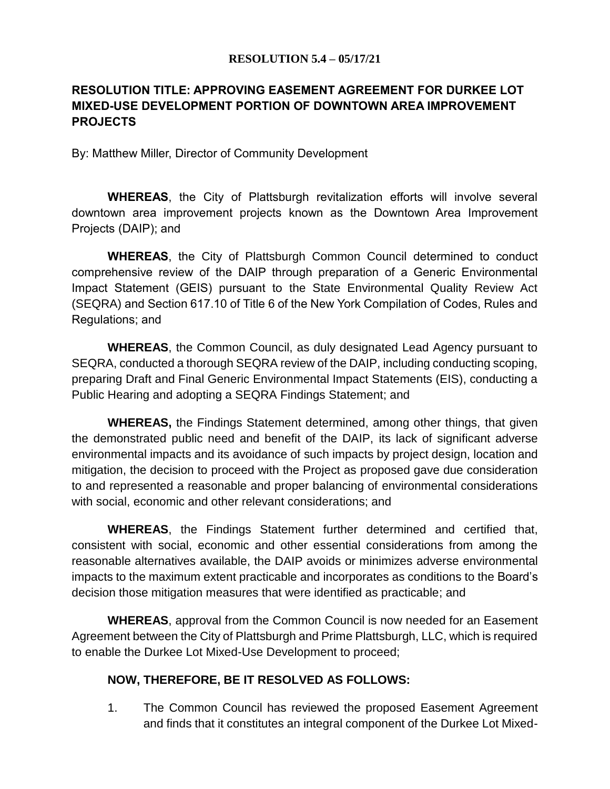#### **RESOLUTION 5.4 – 05/17/21**

# **RESOLUTION TITLE: APPROVING EASEMENT AGREEMENT FOR DURKEE LOT MIXED-USE DEVELOPMENT PORTION OF DOWNTOWN AREA IMPROVEMENT PROJECTS**

By: Matthew Miller, Director of Community Development

**WHEREAS**, the City of Plattsburgh revitalization efforts will involve several downtown area improvement projects known as the Downtown Area Improvement Projects (DAIP); and

**WHEREAS**, the City of Plattsburgh Common Council determined to conduct comprehensive review of the DAIP through preparation of a Generic Environmental Impact Statement (GEIS) pursuant to the State Environmental Quality Review Act (SEQRA) and Section 617.10 of Title 6 of the New York Compilation of Codes, Rules and Regulations; and

**WHEREAS**, the Common Council, as duly designated Lead Agency pursuant to SEQRA, conducted a thorough SEQRA review of the DAIP, including conducting scoping, preparing Draft and Final Generic Environmental Impact Statements (EIS), conducting a Public Hearing and adopting a SEQRA Findings Statement; and

**WHEREAS,** the Findings Statement determined, among other things, that given the demonstrated public need and benefit of the DAIP, its lack of significant adverse environmental impacts and its avoidance of such impacts by project design, location and mitigation, the decision to proceed with the Project as proposed gave due consideration to and represented a reasonable and proper balancing of environmental considerations with social, economic and other relevant considerations; and

**WHEREAS**, the Findings Statement further determined and certified that, consistent with social, economic and other essential considerations from among the reasonable alternatives available, the DAIP avoids or minimizes adverse environmental impacts to the maximum extent practicable and incorporates as conditions to the Board's decision those mitigation measures that were identified as practicable; and

**WHEREAS**, approval from the Common Council is now needed for an Easement Agreement between the City of Plattsburgh and Prime Plattsburgh, LLC, which is required to enable the Durkee Lot Mixed-Use Development to proceed;

### **NOW, THEREFORE, BE IT RESOLVED AS FOLLOWS:**

1. The Common Council has reviewed the proposed Easement Agreement and finds that it constitutes an integral component of the Durkee Lot Mixed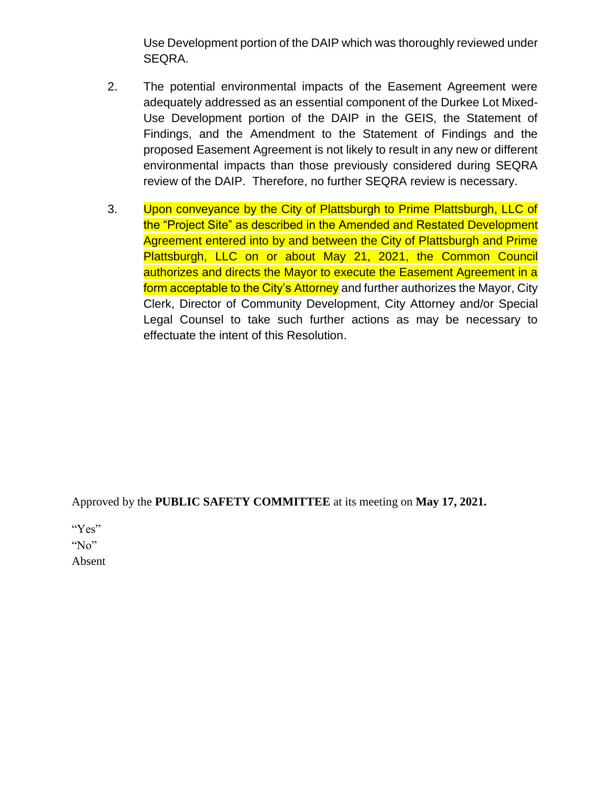Use Development portion of the DAIP which was thoroughly reviewed under SEQRA.

- 2. The potential environmental impacts of the Easement Agreement were adequately addressed as an essential component of the Durkee Lot Mixed-Use Development portion of the DAIP in the GEIS, the Statement of Findings, and the Amendment to the Statement of Findings and the proposed Easement Agreement is not likely to result in any new or different environmental impacts than those previously considered during SEQRA review of the DAIP. Therefore, no further SEQRA review is necessary.
- 3. Upon conveyance by the City of Plattsburgh to Prime Plattsburgh, LLC of the "Project Site" as described in the Amended and Restated Development Agreement entered into by and between the City of Plattsburgh and Prime Plattsburgh, LLC on or about May 21, 2021, the Common Council authorizes and directs the Mayor to execute the Easement Agreement in a form acceptable to the City's Attorney and further authorizes the Mayor, City Clerk, Director of Community Development, City Attorney and/or Special Legal Counsel to take such further actions as may be necessary to effectuate the intent of this Resolution.

Approved by the **PUBLIC SAFETY COMMITTEE** at its meeting on **May 17, 2021.**

"Yes"

"No"

Absent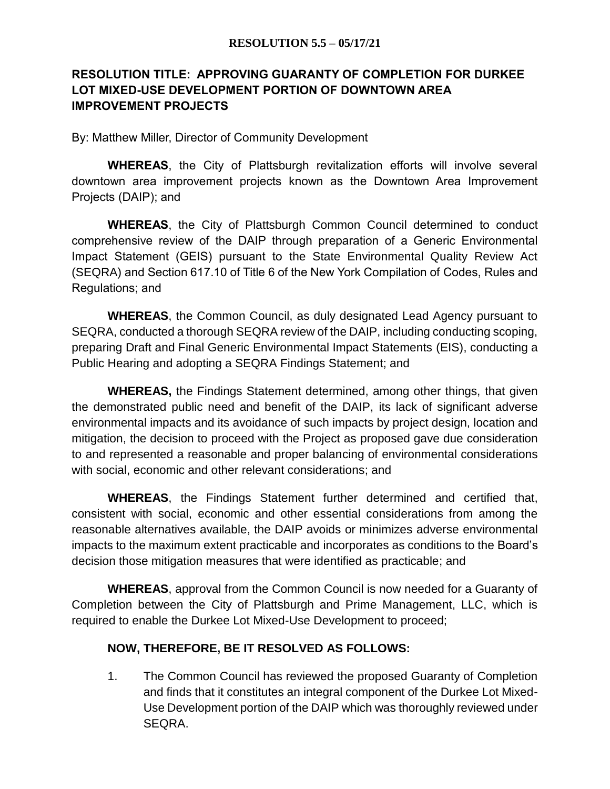# **RESOLUTION TITLE: APPROVING GUARANTY OF COMPLETION FOR DURKEE LOT MIXED-USE DEVELOPMENT PORTION OF DOWNTOWN AREA IMPROVEMENT PROJECTS**

By: Matthew Miller, Director of Community Development

**WHEREAS**, the City of Plattsburgh revitalization efforts will involve several downtown area improvement projects known as the Downtown Area Improvement Projects (DAIP); and

**WHEREAS**, the City of Plattsburgh Common Council determined to conduct comprehensive review of the DAIP through preparation of a Generic Environmental Impact Statement (GEIS) pursuant to the State Environmental Quality Review Act (SEQRA) and Section 617.10 of Title 6 of the New York Compilation of Codes, Rules and Regulations; and

**WHEREAS**, the Common Council, as duly designated Lead Agency pursuant to SEQRA, conducted a thorough SEQRA review of the DAIP, including conducting scoping, preparing Draft and Final Generic Environmental Impact Statements (EIS), conducting a Public Hearing and adopting a SEQRA Findings Statement; and

**WHEREAS,** the Findings Statement determined, among other things, that given the demonstrated public need and benefit of the DAIP, its lack of significant adverse environmental impacts and its avoidance of such impacts by project design, location and mitigation, the decision to proceed with the Project as proposed gave due consideration to and represented a reasonable and proper balancing of environmental considerations with social, economic and other relevant considerations; and

**WHEREAS**, the Findings Statement further determined and certified that, consistent with social, economic and other essential considerations from among the reasonable alternatives available, the DAIP avoids or minimizes adverse environmental impacts to the maximum extent practicable and incorporates as conditions to the Board's decision those mitigation measures that were identified as practicable; and

**WHEREAS**, approval from the Common Council is now needed for a Guaranty of Completion between the City of Plattsburgh and Prime Management, LLC, which is required to enable the Durkee Lot Mixed-Use Development to proceed;

## **NOW, THEREFORE, BE IT RESOLVED AS FOLLOWS:**

1. The Common Council has reviewed the proposed Guaranty of Completion and finds that it constitutes an integral component of the Durkee Lot Mixed-Use Development portion of the DAIP which was thoroughly reviewed under SEQRA.